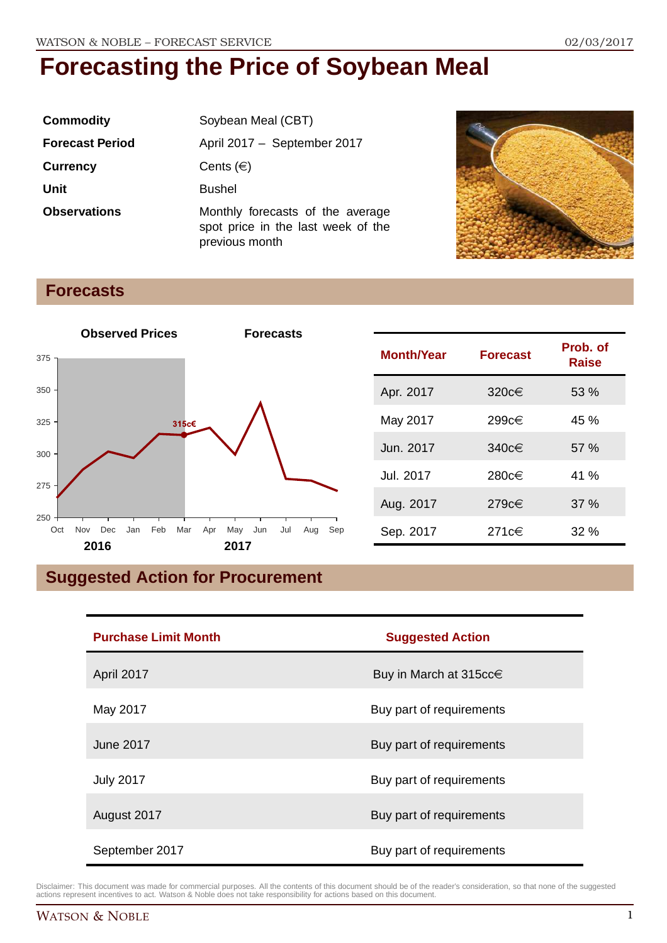| <b>Commodity</b>       | Soybean Meal (CBT)                                                                       |
|------------------------|------------------------------------------------------------------------------------------|
| <b>Forecast Period</b> | April 2017 - September 2017                                                              |
| <b>Currency</b>        | Cents $(\in)$                                                                            |
| <b>Unit</b>            | <b>Bushel</b>                                                                            |
| <b>Observations</b>    | Monthly forecasts of the average<br>spot price in the last week of the<br>previous month |



## **Forecasts**



| <b>Month/Year</b> | <b>Forecast</b> | Prob. of<br><b>Raise</b> |
|-------------------|-----------------|--------------------------|
| Apr. 2017         | 320 $c \in$     | 53%                      |
| May 2017          | 299c€           | $45 \%$                  |
| Jun. 2017         | 340 $c \in$     | 57%                      |
| Jul. 2017         | 280c€           | 41 %                     |
| Aug. 2017         | 279c€           | 37%                      |
| Sep. 2017         | 271c€           | 32%                      |

# **Suggested Action for Procurement**

| <b>Purchase Limit Month</b> | <b>Suggested Action</b>  |
|-----------------------------|--------------------------|
| April 2017                  | Buy in March at 315cc€   |
| May 2017                    | Buy part of requirements |
| <b>June 2017</b>            | Buy part of requirements |
| <b>July 2017</b>            | Buy part of requirements |
| August 2017                 | Buy part of requirements |
| September 2017              | Buy part of requirements |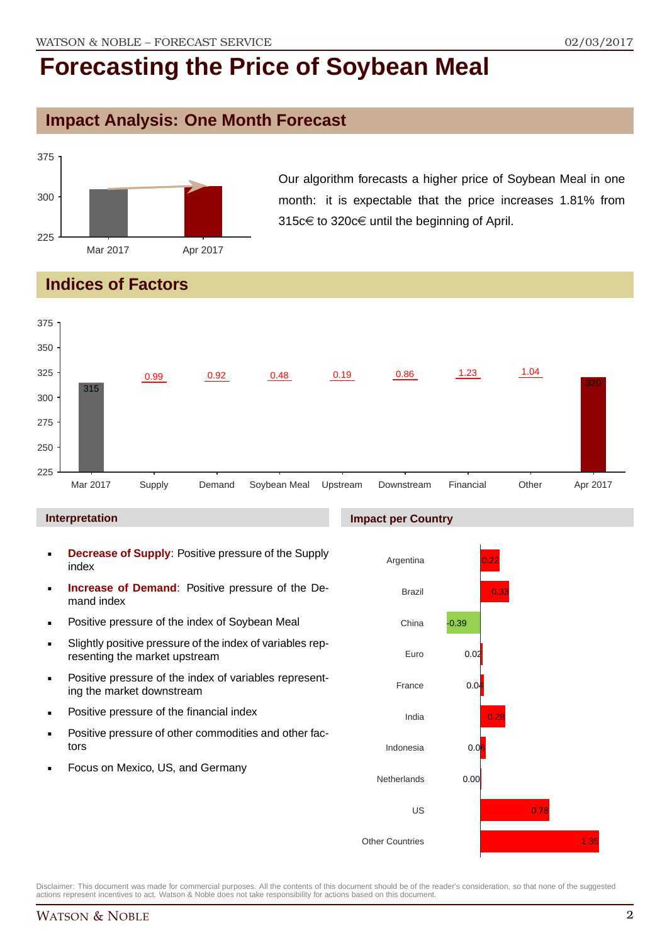## **Impact Analysis: One Month Forecast**



Our algorithm forecasts a higher price of Soybean Meal in one month: it is expectable that the price increases 1.81% from 315c€ to 320c€ until the beginning of April.

# **Indices of Factors**



### **Interpretation**

- **Decrease of Supply**: Positive pressure of the Supply index
- **Increase of Demand**: Positive pressure of the Demand index
- **Positive pressure of the index of Soybean Meal**
- Slightly positive pressure of the index of variables representing the market upstream
- **Positive pressure of the index of variables represent**ing the market downstream
- **•** Positive pressure of the financial index
- **Positive pressure of other commodities and other fac**tors
- Focus on Mexico, US, and Germany

### **Impact per Country**

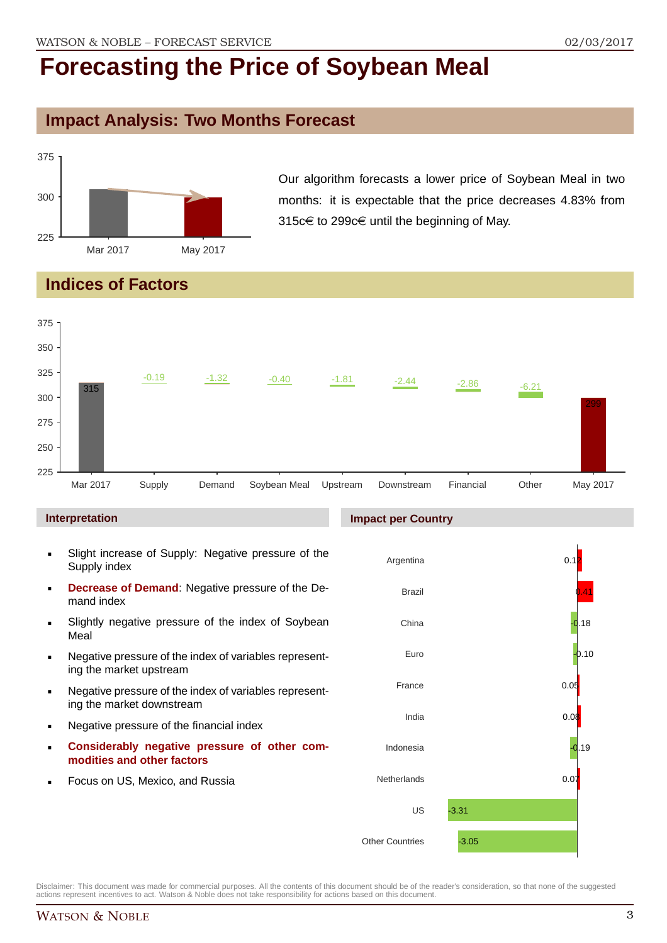### **Impact Analysis: Two Months Forecast**



Our algorithm forecasts a lower price of Soybean Meal in two months: it is expectable that the price decreases 4.83% from 315c€ to 299c€ until the beginning of May.

## **Indices of Factors**



### **Interpretation**

- Slight increase of Supply: Negative pressure of the Supply index
- **Decrease of Demand**: Negative pressure of the Demand index
- **Slightly negative pressure of the index of Sovbean** Meal
- Negative pressure of the index of variables representing the market upstream
- Negative pressure of the index of variables representing the market downstream
- Negative pressure of the financial index
- **Considerably negative pressure of other commodities and other factors**
- Focus on US, Mexico, and Russia

### **Impact per Country**

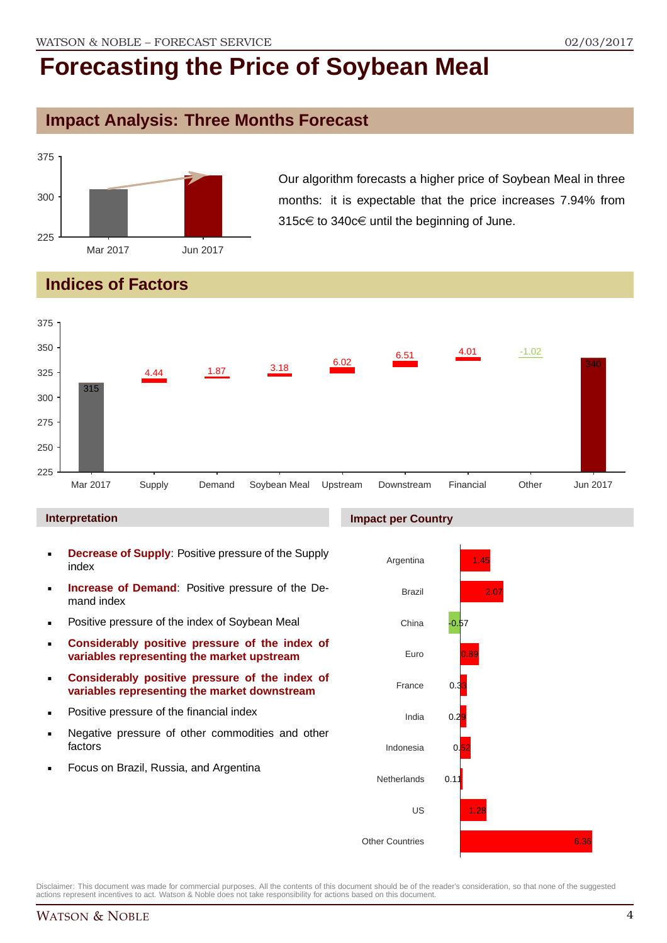## **Impact Analysis: Three Months Forecast**



Our algorithm forecasts a higher price of Soybean Meal in three months: it is expectable that the price increases 7.94% from 315c€ to 340c€ until the beginning of June.

# **Indices of Factors**



### **Interpretation**

- **Decrease of Supply**: Positive pressure of the Supply index
- **Increase of Demand**: Positive pressure of the Demand index
- **Positive pressure of the index of Soybean Meal**
- **Considerably positive pressure of the index of variables representing the market upstream**
- **Considerably positive pressure of the index of variables representing the market downstream**
- **•** Positive pressure of the financial index
- **Negative pressure of other commodities and other** factors
- Focus on Brazil, Russia, and Argentina

### **Impact per Country**

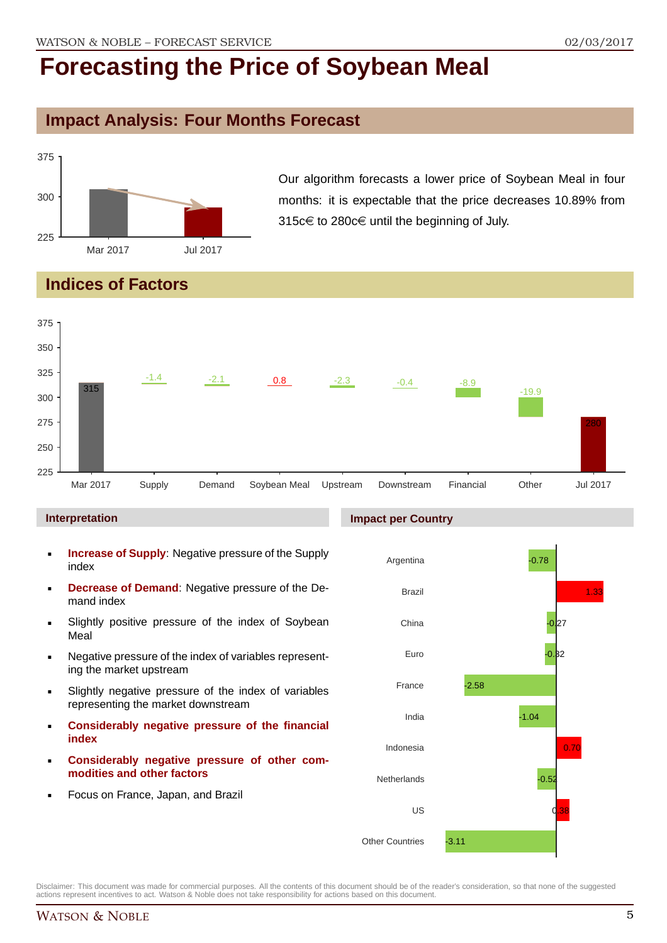## **Impact Analysis: Four Months Forecast**



Our algorithm forecasts a lower price of Soybean Meal in four months: it is expectable that the price decreases 10.89% from 315c€ to 280c€ until the beginning of July.

# **Indices of Factors**



### **Interpretation**

- **Increase of Supply**: Negative pressure of the Supply index
- **Decrease of Demand**: Negative pressure of the Demand index
- **Slightly positive pressure of the index of Soybean** Meal
- Negative pressure of the index of variables representing the market upstream
- Slightly negative pressure of the index of variables representing the market downstream
- **Considerably negative pressure of the financial index**
- **Considerably negative pressure of other commodities and other factors**
- Focus on France, Japan, and Brazil

# **Impact per Country**

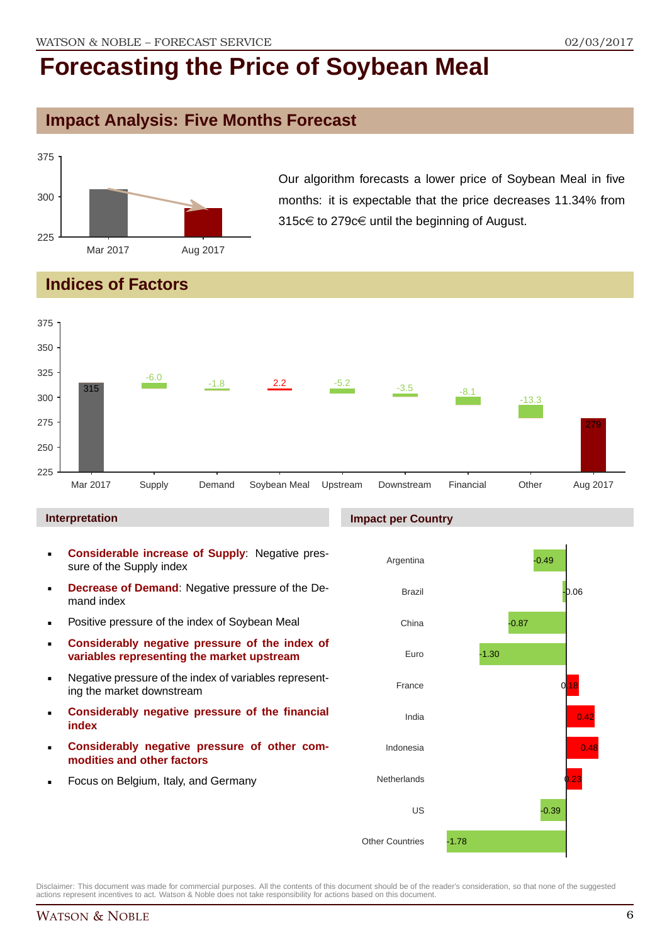## **Impact Analysis: Five Months Forecast**



Our algorithm forecasts a lower price of Soybean Meal in five months: it is expectable that the price decreases 11.34% from 315c€ to 279c€ until the beginning of August.

## **Indices of Factors**



### **Interpretation**

- **Considerable increase of Supply**: Negative pressure of the Supply index
- **Decrease of Demand**: Negative pressure of the Demand index
- **Positive pressure of the index of Soybean Meal**
- **Considerably negative pressure of the index of variables representing the market upstream**
- Negative pressure of the index of variables representing the market downstream
- **Considerably negative pressure of the financial index**
- **Considerably negative pressure of other commodities and other factors**
- Focus on Belgium, Italy, and Germany

### **Impact per Country**

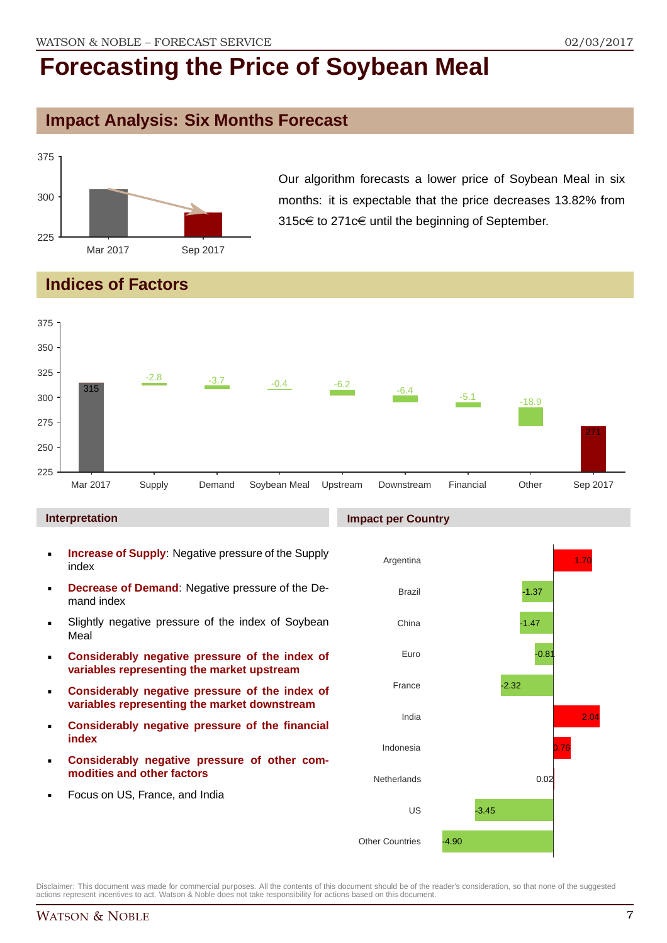## **Impact Analysis: Six Months Forecast**



Our algorithm forecasts a lower price of Soybean Meal in six months: it is expectable that the price decreases 13.82% from 315 $c \in$  to 271 $c \in$  until the beginning of September.

## **Indices of Factors**



### **Interpretation**

- **Increase of Supply**: Negative pressure of the Supply index
- **Decrease of Demand**: Negative pressure of the Demand index
- **Slightly negative pressure of the index of Sovbean** Meal
- **Considerably negative pressure of the index of variables representing the market upstream**
- **Considerably negative pressure of the index of variables representing the market downstream**
- **Considerably negative pressure of the financial index**
- **Considerably negative pressure of other commodities and other factors**
- Focus on US, France, and India

### **Impact per Country**

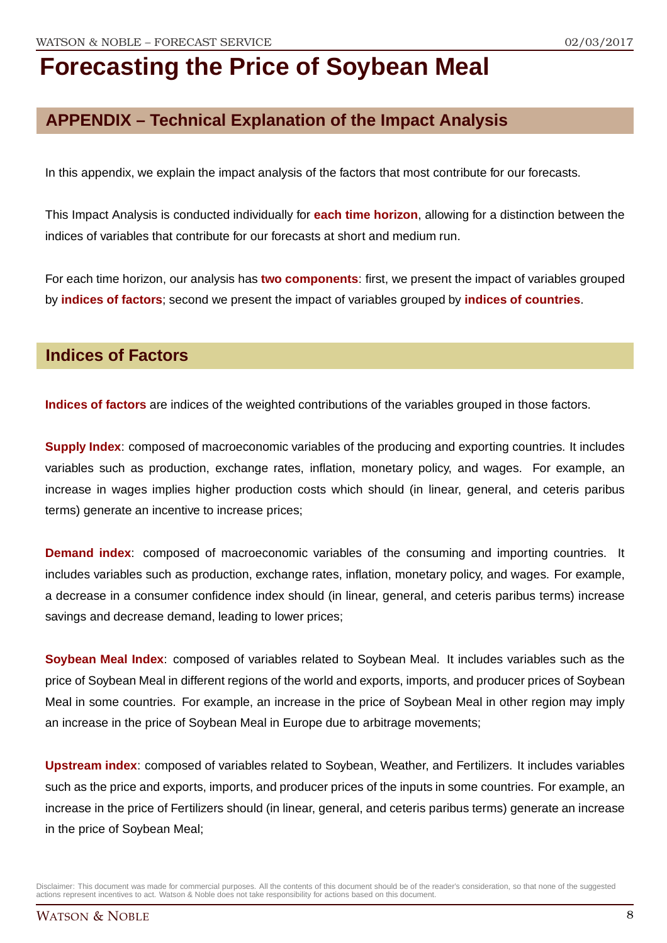# **APPENDIX – Technical Explanation of the Impact Analysis**

In this appendix, we explain the impact analysis of the factors that most contribute for our forecasts.

This Impact Analysis is conducted individually for **each time horizon**, allowing for a distinction between the indices of variables that contribute for our forecasts at short and medium run.

For each time horizon, our analysis has **two components**: first, we present the impact of variables grouped by **indices of factors**; second we present the impact of variables grouped by **indices of countries**.

### **Indices of Factors**

**Indices of factors** are indices of the weighted contributions of the variables grouped in those factors.

**Supply Index**: composed of macroeconomic variables of the producing and exporting countries. It includes variables such as production, exchange rates, inflation, monetary policy, and wages. For example, an increase in wages implies higher production costs which should (in linear, general, and ceteris paribus terms) generate an incentive to increase prices;

**Demand index**: composed of macroeconomic variables of the consuming and importing countries. It includes variables such as production, exchange rates, inflation, monetary policy, and wages. For example, a decrease in a consumer confidence index should (in linear, general, and ceteris paribus terms) increase savings and decrease demand, leading to lower prices;

**Soybean Meal Index**: composed of variables related to Soybean Meal. It includes variables such as the price of Soybean Meal in different regions of the world and exports, imports, and producer prices of Soybean Meal in some countries. For example, an increase in the price of Soybean Meal in other region may imply an increase in the price of Soybean Meal in Europe due to arbitrage movements;

**Upstream index**: composed of variables related to Soybean, Weather, and Fertilizers. It includes variables such as the price and exports, imports, and producer prices of the inputs in some countries. For example, an increase in the price of Fertilizers should (in linear, general, and ceteris paribus terms) generate an increase in the price of Soybean Meal;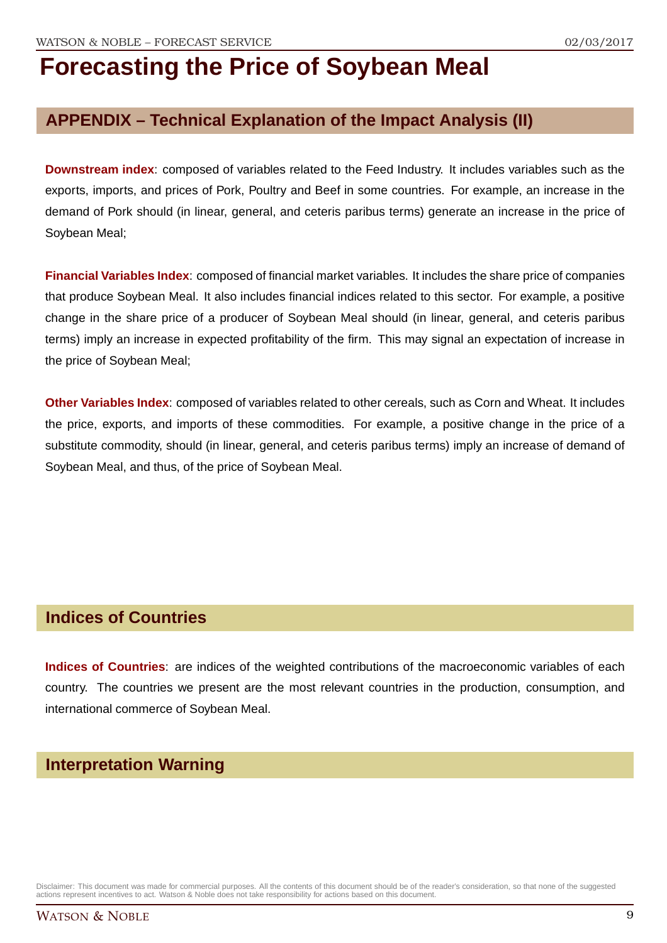## **APPENDIX – Technical Explanation of the Impact Analysis (II)**

**Downstream index**: composed of variables related to the Feed Industry. It includes variables such as the exports, imports, and prices of Pork, Poultry and Beef in some countries. For example, an increase in the demand of Pork should (in linear, general, and ceteris paribus terms) generate an increase in the price of Soybean Meal;

**Financial Variables Index**: composed of financial market variables. It includes the share price of companies that produce Soybean Meal. It also includes financial indices related to this sector. For example, a positive change in the share price of a producer of Soybean Meal should (in linear, general, and ceteris paribus terms) imply an increase in expected profitability of the firm. This may signal an expectation of increase in the price of Soybean Meal;

**Other Variables Index**: composed of variables related to other cereals, such as Corn and Wheat. It includes the price, exports, and imports of these commodities. For example, a positive change in the price of a substitute commodity, should (in linear, general, and ceteris paribus terms) imply an increase of demand of Soybean Meal, and thus, of the price of Soybean Meal.

### **Indices of Countries**

**Indices of Countries**: are indices of the weighted contributions of the macroeconomic variables of each country. The countries we present are the most relevant countries in the production, consumption, and international commerce of Soybean Meal.

## **Interpretation Warning**